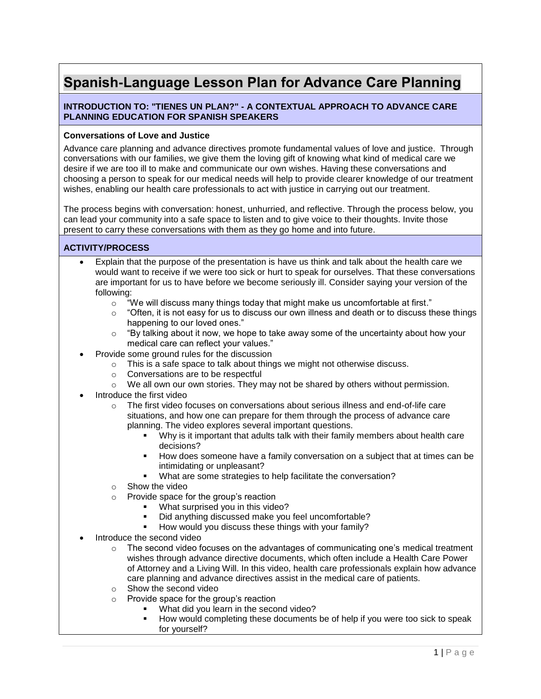# **Spanish-Language Lesson Plan for Advance Care Planning**

## **INTRODUCTION TO: "TIENES UN PLAN?" - A CONTEXTUAL APPROACH TO ADVANCE CARE PLANNING EDUCATION FOR SPANISH SPEAKERS**

## **Conversations of Love and Justice**

Advance care planning and advance directives promote fundamental values of love and justice. Through conversations with our families, we give them the loving gift of knowing what kind of medical care we desire if we are too ill to make and communicate our own wishes. Having these conversations and choosing a person to speak for our medical needs will help to provide clearer knowledge of our treatment wishes, enabling our health care professionals to act with justice in carrying out our treatment.

The process begins with conversation: honest, unhurried, and reflective. Through the process below, you can lead your community into a safe space to listen and to give voice to their thoughts. Invite those present to carry these conversations with them as they go home and into future.

### **ACTIVITY/PROCESS**

- Explain that the purpose of the presentation is have us think and talk about the health care we would want to receive if we were too sick or hurt to speak for ourselves. That these conversations are important for us to have before we become seriously ill. Consider saying your version of the following:
	- $\circ$  "We will discuss many things today that might make us uncomfortable at first."
	- $\circ$  "Often, it is not easy for us to discuss our own illness and death or to discuss these things happening to our loved ones."
	- $\circ$  "By talking about it now, we hope to take away some of the uncertainty about how your medical care can reflect your values."
- Provide some ground rules for the discussion
	- o This is a safe space to talk about things we might not otherwise discuss.
	- o Conversations are to be respectful
	- $\circ$  We all own our own stories. They may not be shared by others without permission.
- Introduce the first video
	- o The first video focuses on conversations about serious illness and end-of-life care situations, and how one can prepare for them through the process of advance care planning. The video explores several important questions.
		- Why is it important that adults talk with their family members about health care decisions?
		- How does someone have a family conversation on a subject that at times can be intimidating or unpleasant?
		- What are some strategies to help facilitate the conversation?
	- o Show the video
	- o Provide space for the group's reaction
		- What surprised you in this video?
		- Did anything discussed make you feel uncomfortable?
		- How would you discuss these things with your family?
- Introduce the second video
	- $\circ$  The second video focuses on the advantages of communicating one's medical treatment wishes through advance directive documents, which often include a Health Care Power of Attorney and a Living Will. In this video, health care professionals explain how advance care planning and advance directives assist in the medical care of patients.
	- o Show the second video
	- o Provide space for the group's reaction
		- What did you learn in the second video?
			- How would completing these documents be of help if you were too sick to speak for yourself?